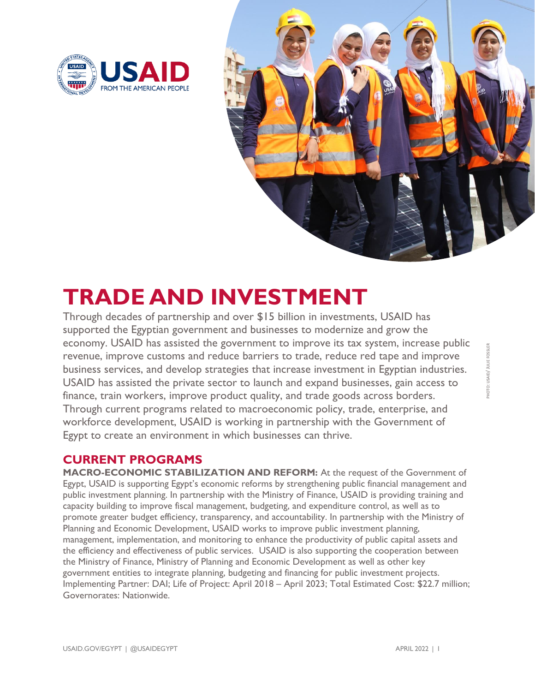



## **TRADE AND INVESTMENT**

Through decades of partnership and over \$15 billion in investments, USAID has supported the Egyptian government and businesses to modernize and grow the economy. USAID has assisted the government to improve its tax system, increase public revenue, improve customs and reduce barriers to trade, reduce red tape and improve business services, and develop strategies that increase investment in Egyptian industries. USAID has assisted the private sector to launch and expand businesses, gain access to finance, train workers, improve product quality, and trade goods across borders. Through current programs related to macroeconomic policy, trade, enterprise, and workforce development, USAID is working in partnership with the Government of Egypt to create an environment in which businesses can thrive.

## **CURRENT PROGRAMS**

**MACRO-ECONOMIC STABILIZATION AND REFORM:** At the request of the Government of Egypt, USAID is supporting Egypt's economic reforms by strengthening public financial management and public investment planning. In partnership with the Ministry of Finance, USAID is providing training and capacity building to improve fiscal management, budgeting, and expenditure control, as well as to promote greater budget efficiency, transparency, and accountability. In partnership with the Ministry of Planning and Economic Development, USAID works to improve public investment planning, management, implementation, and monitoring to enhance the productivity of public capital assets and the efficiency and effectiveness of public services. USAID is also supporting the cooperation between the Ministry of Finance, Ministry of Planning and Economic Development as well as other key government entities to integrate planning, budgeting and financing for public investment projects. Implementing Partner: DAI; Life of Project: April 2018 – April 2023; Total Estimated Cost: \$22.7 million; Governorates: Nationwide.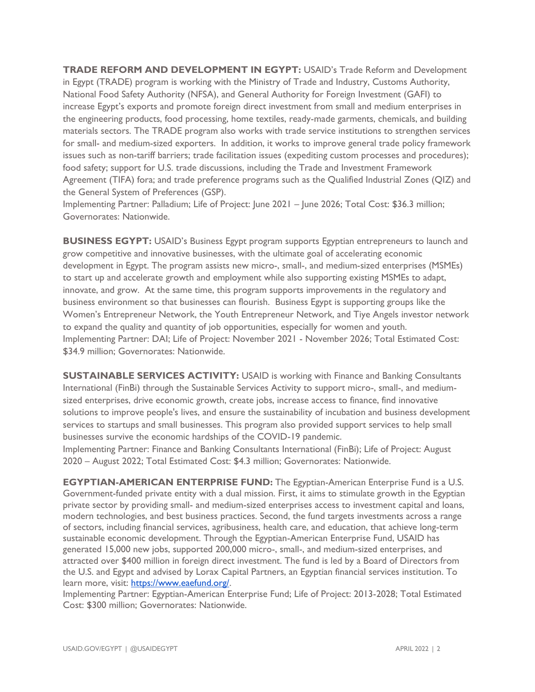**TRADE REFORM AND DEVELOPMENT IN EGYPT:** USAID's Trade Reform and Development in Egypt (TRADE) program is working with the Ministry of Trade and Industry, Customs Authority, National Food Safety Authority (NFSA), and General Authority for Foreign Investment (GAFI) to increase Egypt's exports and promote foreign direct investment from small and medium enterprises in the engineering products, food processing, home textiles, ready-made garments, chemicals, and building materials sectors. The TRADE program also works with trade service institutions to strengthen services for small- and medium-sized exporters. In addition, it works to improve general trade policy framework issues such as non-tariff barriers; trade facilitation issues (expediting custom processes and procedures); food safety; support for U.S. trade discussions, including the Trade and Investment Framework Agreement (TIFA) fora; and trade preference programs such as the Qualified Industrial Zones (QIZ) and the General System of Preferences (GSP).

Implementing Partner: Palladium; Life of Project: June 2021 – June 2026; Total Cost: \$36.3 million; Governorates: Nationwide.

**BUSINESS EGYPT:** USAID's Business Egypt program supports Egyptian entrepreneurs to launch and grow competitive and innovative businesses, with the ultimate goal of accelerating economic development in Egypt. The program assists new micro-, small-, and medium-sized enterprises (MSMEs) to start up and accelerate growth and employment while also supporting existing MSMEs to adapt, innovate, and grow. At the same time, this program supports improvements in the regulatory and business environment so that businesses can flourish. Business Egypt is supporting groups like the Women's Entrepreneur Network, the Youth Entrepreneur Network, and Tiye Angels investor network to expand the quality and quantity of job opportunities, especially for women and youth. Implementing Partner: DAI; Life of Project: November 2021 - November 2026; Total Estimated Cost: \$34.9 million; Governorates: Nationwide.

**SUSTAINABLE SERVICES ACTIVITY: USAID is working with Finance and Banking Consultants** International (FinBi) through the Sustainable Services Activity to support micro-, small-, and mediumsized enterprises, drive economic growth, create jobs, increase access to finance, find innovative solutions to improve people's lives, and ensure the sustainability of incubation and business development services to startups and small businesses. This program also provided support services to help small businesses survive the economic hardships of the COVID-19 pandemic.

Implementing Partner: Finance and Banking Consultants International (FinBi); Life of Project: August 2020 – August 2022; Total Estimated Cost: \$4.3 million; Governorates: Nationwide.

**EGYPTIAN-AMERICAN ENTERPRISE FUND:** The Egyptian-American Enterprise Fund is a U.S. Government-funded private entity with a dual mission. First, it aims to stimulate growth in the Egyptian private sector by providing small- and medium-sized enterprises access to investment capital and loans, modern technologies, and best business practices. Second, the fund targets investments across a range of sectors, including financial services, agribusiness, health care, and education, that achieve long-term sustainable economic development. Through the Egyptian-American Enterprise Fund, USAID has generated 15,000 new jobs, supported 200,000 micro-, small-, and medium-sized enterprises, and attracted over \$400 million in foreign direct investment. The fund is led by a Board of Directors from the U.S. and Egypt and advised by Lorax Capital Partners, an Egyptian financial services institution. To learn more, visit: [https://www.eaefund.org/.](https://www.eaefund.org/)

Implementing Partner: Egyptian-American Enterprise Fund; Life of Project: 2013-2028; Total Estimated Cost: \$300 million; Governorates: Nationwide.